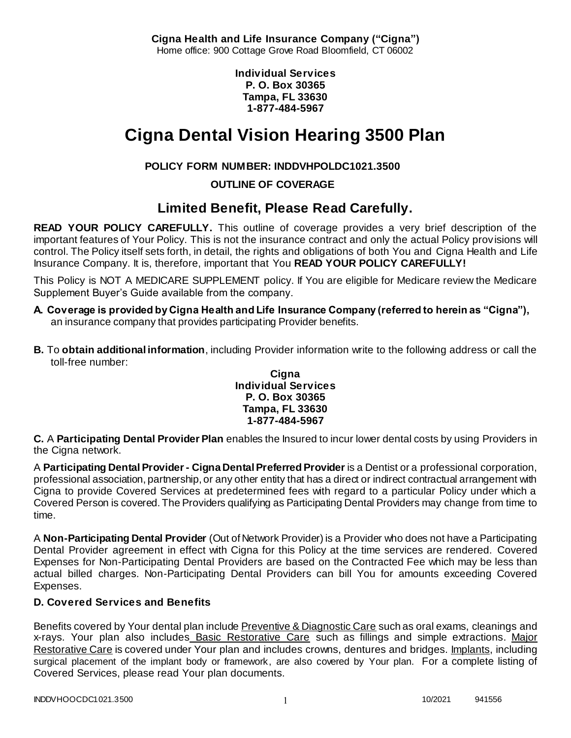**Cigna Health and Life Insurance Company ("Cigna")** Home office: 900 Cottage Grove Road Bloomfield, CT 06002

> **Individual Services P. O. Box 30365 Tampa, FL 33630 1-877-484-5967**

# **Cigna Dental Vision Hearing 3500 Plan**

### **POLICY FORM NUMBER: INDDVHPOLDC1021.3500**

**OUTLINE OF COVERAGE**

## **Limited Benefit, Please Read Carefully.**

**READ YOUR POLICY CAREFULLY.** This outline of coverage provides a very brief description of the important features of Your Policy. This is not the insurance contract and only the actual Policy provisions will control. The Policy itself sets forth, in detail, the rights and obligations of both You and Cigna Health and Life Insurance Company. It is, therefore, important that You **READ YOUR POLICY CAREFULLY!** 

This Policy is NOT A MEDICARE SUPPLEMENT policy. If You are eligible for Medicare review the Medicare Supplement Buyer's Guide available from the company.

- **A. Coverage is provided by Cigna Health and Life Insurance Company (referred to herein as "Cigna"),**  an insurance company that provides participating Provider benefits.
- **B.** To **obtain additional information**, including Provider information write to the following address or call the toll-free number:

#### **Cigna Individual Services P. O. Box 30365 Tampa, FL 33630 1-877-484-5967**

**C.** A **Participating Dental Provider Plan** enables the Insured to incur lower dental costs by using Providers in the Cigna network.

A **Participating Dental Provider - Cigna Dental Preferred Provider** is a Dentist or a professional corporation, professional association, partnership, or any other entity that has a direct or indirect contractual arrangement with Cigna to provide Covered Services at predetermined fees with regard to a particular Policy under which a Covered Person is covered. The Providers qualifying as Participating Dental Providers may change from time to time.

A **Non-Participating Dental Provider** (Out of Network Provider) is a Provider who does not have a Participating Dental Provider agreement in effect with Cigna for this Policy at the time services are rendered. Covered Expenses for Non-Participating Dental Providers are based on the Contracted Fee which may be less than actual billed charges. Non-Participating Dental Providers can bill You for amounts exceeding Covered Expenses.

### **D. Covered Services and Benefits**

Benefits covered by Your dental plan include Preventive & Diagnostic Care such as oral exams, cleanings and x-rays. Your plan also includes Basic Restorative Care such as fillings and simple extractions. Major Restorative Care is covered under Your plan and includes crowns, dentures and bridges. Implants, including surgical placement of the implant body or framework, are also covered by Your plan. For a complete listing of Covered Services, please read Your plan documents.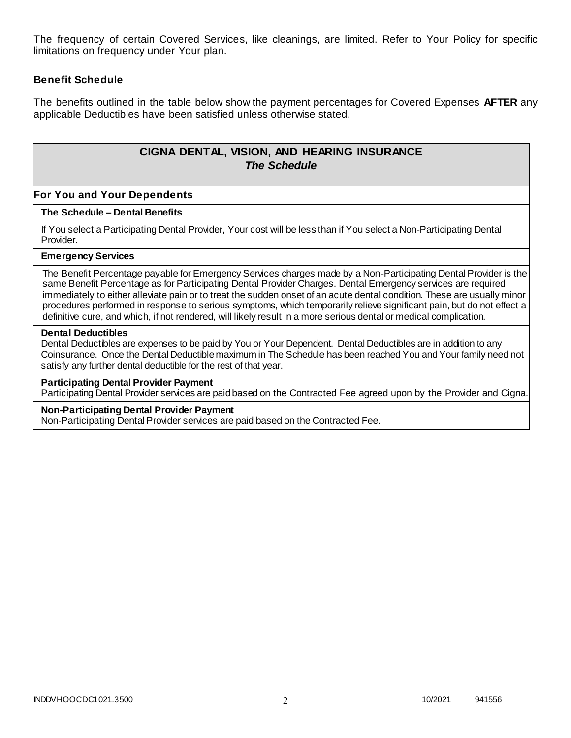The frequency of certain Covered Services, like cleanings, are limited. Refer to Your Policy for specific limitations on frequency under Your plan.

### **Benefit Schedule**

The benefits outlined in the table below show the payment percentages for Covered Expenses **AFTER** any applicable Deductibles have been satisfied unless otherwise stated.

### **CIGNA DENTAL, VISION, AND HEARING INSURANCE** *The Schedule*

#### **For You and Your Dependents**

#### **The Schedule – Dental Benefits**

If You select a Participating Dental Provider, Your cost will be less than if You select a Non-Participating Dental Provider.

#### **Emergency Services**

The Benefit Percentage payable for Emergency Services charges made by a Non-Participating Dental Provider is the same Benefit Percentage as for Participating Dental Provider Charges. Dental Emergency services are required immediately to either alleviate pain or to treat the sudden onset of an acute dental condition. These are usually minor procedures performed in response to serious symptoms, which temporarily relieve significant pain, but do not effect a definitive cure, and which, if not rendered, will likely result in a more serious dental or medical complication.

#### **Dental Deductibles**

Dental Deductibles are expenses to be paid by You or Your Dependent. Dental Deductibles are in addition to any Coinsurance. Once the Dental Deductible maximum in The Schedule has been reached You and Your family need not satisfy any further dental deductible for the rest of that year.

#### **Participating Dental Provider Payment**

Participating Dental Provider services are paid based on the Contracted Fee agreed upon by the Provider and Cigna.

#### **Non-Participating Dental Provider Payment**

Non-Participating Dental Provider services are paid based on the Contracted Fee.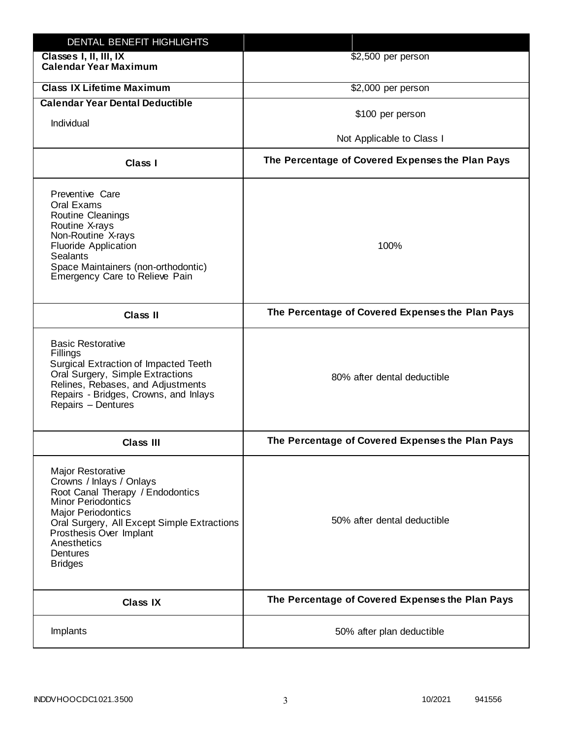| DENTAL BENEFIT HIGHLIGHTS                                                                                                                                                                                                                                                 |                                                  |
|---------------------------------------------------------------------------------------------------------------------------------------------------------------------------------------------------------------------------------------------------------------------------|--------------------------------------------------|
| Classes I, II, III, IX<br><b>Calendar Year Maximum</b>                                                                                                                                                                                                                    | \$2,500 per person                               |
| <b>Class IX Lifetime Maximum</b>                                                                                                                                                                                                                                          | \$2,000 per person                               |
| <b>Calendar Year Dental Deductible</b>                                                                                                                                                                                                                                    |                                                  |
| Individual                                                                                                                                                                                                                                                                | \$100 per person                                 |
|                                                                                                                                                                                                                                                                           | Not Applicable to Class I                        |
| Class I                                                                                                                                                                                                                                                                   | The Percentage of Covered Expenses the Plan Pays |
| Preventive Care<br>Oral Exams<br><b>Routine Cleanings</b><br>Routine X-rays<br>Non-Routine X-rays<br><b>Fluoride Application</b><br><b>Sealants</b><br>Space Maintainers (non-orthodontic)<br>Emergency Care to Relieve Pain                                              | 100%                                             |
| <b>Class II</b>                                                                                                                                                                                                                                                           | The Percentage of Covered Expenses the Plan Pays |
| <b>Basic Restorative</b><br>Fillings<br>Surgical Extraction of Impacted Teeth<br>Oral Surgery, Simple Extractions<br>Relines, Rebases, and Adjustments<br>Repairs - Bridges, Crowns, and Inlays<br>Repairs - Dentures                                                     | 80% after dental deductible                      |
| <b>Class III</b>                                                                                                                                                                                                                                                          | The Percentage of Covered Expenses the Plan Pays |
| <b>Major Restorative</b><br>Crowns / Inlays / Onlays<br>Root Canal Therapy / Endodontics<br><b>Minor Periodontics</b><br><b>Major Periodontics</b><br>Oral Surgery, All Except Simple Extractions<br>Prosthesis Over Implant<br>Anesthetics<br>Dentures<br><b>Bridges</b> | 50% after dental deductible                      |
| <b>Class IX</b>                                                                                                                                                                                                                                                           | The Percentage of Covered Expenses the Plan Pays |
| Implants                                                                                                                                                                                                                                                                  | 50% after plan deductible                        |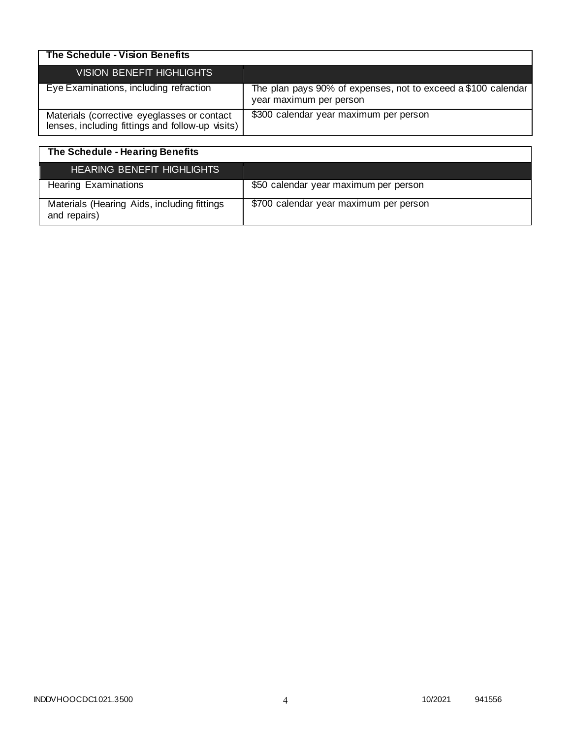| The Schedule - Vision Benefits                                                                  |                                                                                          |
|-------------------------------------------------------------------------------------------------|------------------------------------------------------------------------------------------|
| <b>VISION BENEFIT HIGHLIGHTS</b>                                                                |                                                                                          |
| Eye Examinations, including refraction                                                          | The plan pays 90% of expenses, not to exceed a \$100 calendar<br>year maximum per person |
| Materials (corrective eyeglasses or contact<br>lenses, including fittings and follow-up visits) | \$300 calendar year maximum per person                                                   |

| The Schedule - Hearing Benefits                             |                                        |
|-------------------------------------------------------------|----------------------------------------|
| <b>HEARING BENEFIT HIGHLIGHTS</b>                           |                                        |
| <b>Hearing Examinations</b>                                 | \$50 calendar year maximum per person  |
| Materials (Hearing Aids, including fittings<br>and repairs) | \$700 calendar year maximum per person |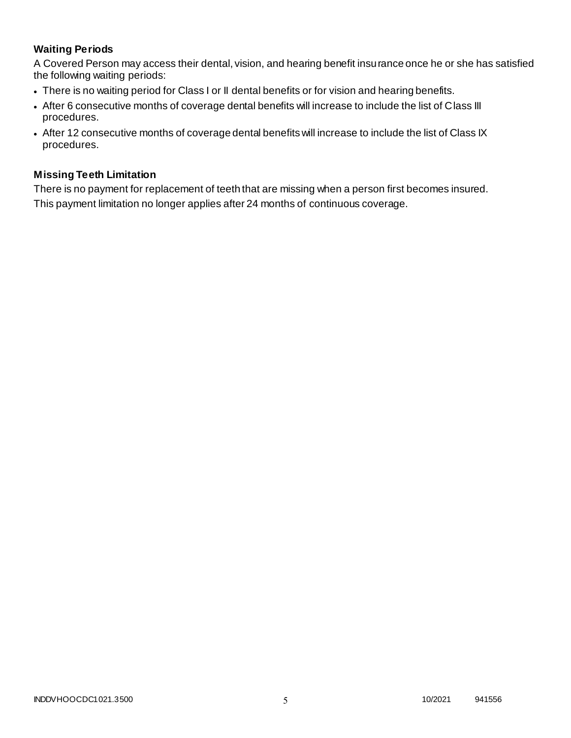### **Waiting Periods**

A Covered Person may access their dental, vision, and hearing benefit insurance once he or she has satisfied the following waiting periods:

- There is no waiting period for Class I or II dental benefits or for vision and hearing benefits.
- After 6 consecutive months of coverage dental benefits will increase to include the list of Class III procedures.
- After 12 consecutive months of coverage dental benefits will increase to include the list of Class IX procedures.

### **Missing Teeth Limitation**

There is no payment for replacement of teeth that are missing when a person first becomes insured. This payment limitation no longer applies after 24 months of continuous coverage.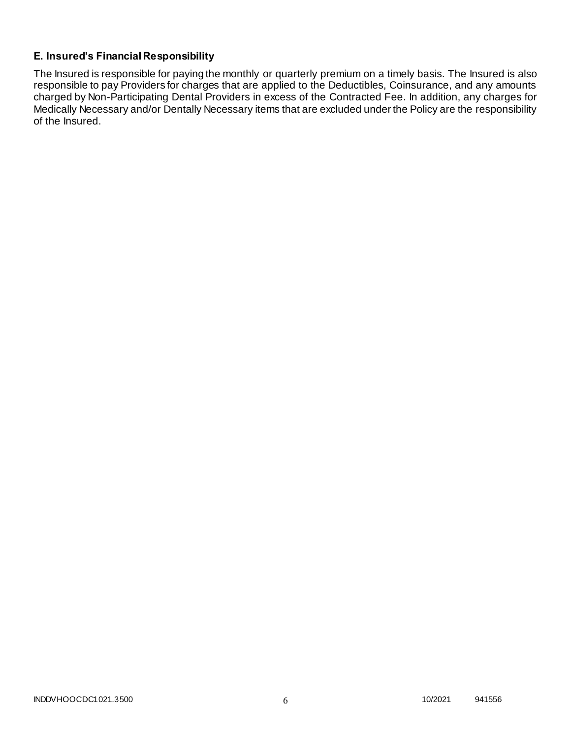### **E. Insured's Financial Responsibility**

The Insured is responsible for paying the monthly or quarterly premium on a timely basis. The Insured is also responsible to pay Providers for charges that are applied to the Deductibles, Coinsurance, and any amounts charged by Non-Participating Dental Providers in excess of the Contracted Fee. In addition, any charges for Medically Necessary and/or Dentally Necessary items that are excluded under the Policy are the responsibility of the Insured.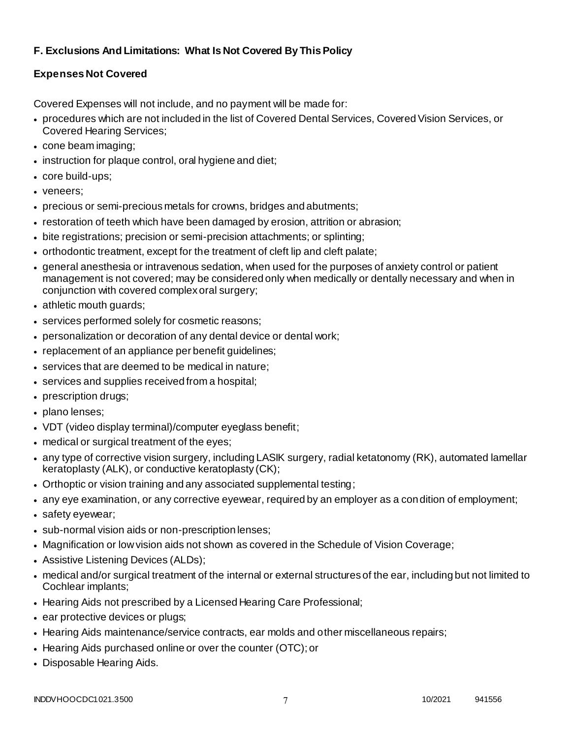### **F. Exclusions And Limitations: What Is Not Covered By This Policy**

### **Expenses Not Covered**

Covered Expenses will not include, and no payment will be made for:

- procedures which are not included in the list of Covered Dental Services, Covered Vision Services, or Covered Hearing Services;
- cone beam imaging;
- instruction for plaque control, oral hygiene and diet;
- core build-ups;
- veneers;
- precious or semi-precious metals for crowns, bridges and abutments;
- restoration of teeth which have been damaged by erosion, attrition or abrasion;
- bite registrations; precision or semi-precision attachments; or splinting;
- orthodontic treatment, except for the treatment of cleft lip and cleft palate;
- general anesthesia or intravenous sedation, when used for the purposes of anxiety control or patient management is not covered; may be considered only when medically or dentally necessary and when in conjunction with covered complex oral surgery;
- athletic mouth guards;
- services performed solely for cosmetic reasons;
- personalization or decoration of any dental device or dental work;
- replacement of an appliance per benefit guidelines;
- services that are deemed to be medical in nature;
- services and supplies received from a hospital;
- prescription drugs;
- plano lenses;
- VDT (video display terminal)/computer eyeglass benefit;
- medical or surgical treatment of the eyes;
- any type of corrective vision surgery, including LASIK surgery, radial ketatonomy (RK), automated lamellar keratoplasty (ALK), or conductive keratoplasty (CK);
- Orthoptic or vision training and any associated supplemental testing;
- any eye examination, or any corrective eyewear, required by an employer as a condition of employment;
- safety eyewear;
- sub-normal vision aids or non-prescription lenses;
- Magnification or low vision aids not shown as covered in the Schedule of Vision Coverage;
- Assistive Listening Devices (ALDs);
- medical and/or surgical treatment of the internal or external structures of the ear, including but not limited to Cochlear implants;
- Hearing Aids not prescribed by a Licensed Hearing Care Professional;
- ear protective devices or plugs;
- Hearing Aids maintenance/service contracts, ear molds and other miscellaneous repairs;
- Hearing Aids purchased online or over the counter (OTC); or
- Disposable Hearing Aids.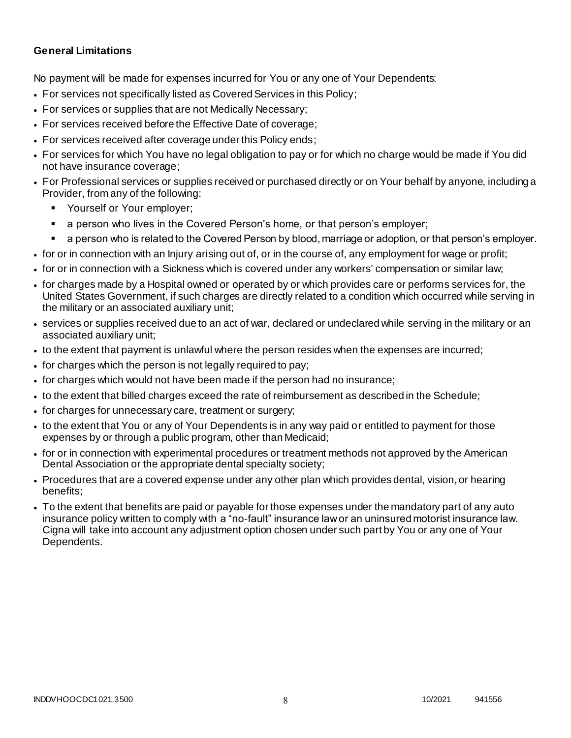### **General Limitations**

No payment will be made for expenses incurred for You or any one of Your Dependents:

- For services not specifically listed as Covered Services in this Policy;
- For services or supplies that are not Medically Necessary;
- For services received before the Effective Date of coverage;
- For services received after coverage under this Policy ends;
- For services for which You have no legal obligation to pay or for which no charge would be made if You did not have insurance coverage;
- For Professional services or supplies received or purchased directly or on Your behalf by anyone, including a Provider, from any of the following:
	- Yourself or Your employer;
	- a person who lives in the Covered Person's home, or that person's employer;
	- a person who is related to the Covered Person by blood, marriage or adoption, or that person's employer.
- for or in connection with an Injury arising out of, or in the course of, any employment for wage or profit;
- for or in connection with a Sickness which is covered under any workers' compensation or similar law;
- for charges made by a Hospital owned or operated by or which provides care or performs services for, the United States Government, if such charges are directly related to a condition which occurred while serving in the military or an associated auxiliary unit;
- services or supplies received due to an act of war, declared or undeclared while serving in the military or an associated auxiliary unit;
- to the extent that payment is unlawful where the person resides when the expenses are incurred;
- for charges which the person is not legally required to pay;
- for charges which would not have been made if the person had no insurance;
- to the extent that billed charges exceed the rate of reimbursement as described in the Schedule;
- for charges for unnecessary care, treatment or surgery;
- to the extent that You or any of Your Dependents is in any way paid or entitled to payment for those expenses by or through a public program, other than Medicaid;
- for or in connection with experimental procedures or treatment methods not approved by the American Dental Association or the appropriate dental specialty society;
- Procedures that are a covered expense under any other plan which provides dental, vision, or hearing benefits;
- To the extent that benefits are paid or payable for those expenses under the mandatory part of any auto insurance policy written to comply with a "no-fault" insurance law or an uninsured motorist insurance law. Cigna will take into account any adjustment option chosen under such part by You or any one of Your Dependents.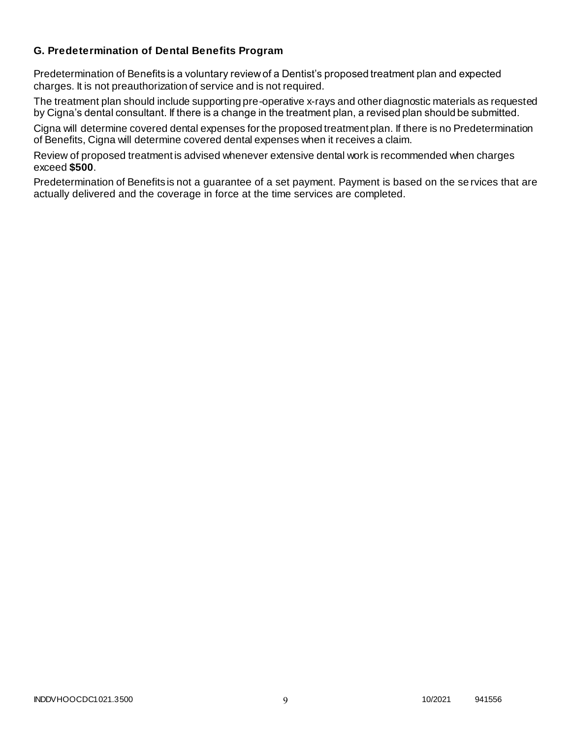### **G. Predetermination of Dental Benefits Program**

Predetermination of Benefits is a voluntary review of a Dentist's proposed treatment plan and expected charges. It is not preauthorization of service and is not required.

The treatment plan should include supporting pre-operative x-rays and other diagnostic materials as requested by Cigna's dental consultant. If there is a change in the treatment plan, a revised plan should be submitted.

Cigna will determine covered dental expenses for the proposed treatment plan. If there is no Predetermination of Benefits, Cigna will determine covered dental expenses when it receives a claim.

Review of proposed treatment is advised whenever extensive dental work is recommended when charges exceed **\$500**.

Predetermination of Benefits is not a guarantee of a set payment. Payment is based on the se rvices that are actually delivered and the coverage in force at the time services are completed.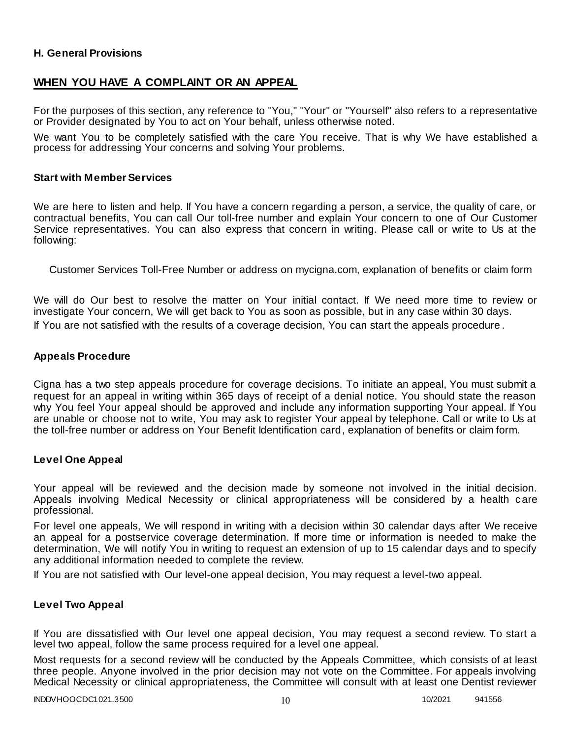#### **H. General Provisions**

### **WHEN YOU HAVE A COMPLAINT OR AN APPEAL**

For the purposes of this section, any reference to "You," "Your" or "Yourself" also refers to a representative or Provider designated by You to act on Your behalf, unless otherwise noted.

We want You to be completely satisfied with the care You receive. That is why We have established a process for addressing Your concerns and solving Your problems.

#### **Start with Member Services**

We are here to listen and help. If You have a concern regarding a person, a service, the quality of care, or contractual benefits, You can call Our toll-free number and explain Your concern to one of Our Customer Service representatives. You can also express that concern in writing. Please call or write to Us at the following:

Customer Services Toll-Free Number or address on mycigna.com, explanation of benefits or claim form

We will do Our best to resolve the matter on Your initial contact. If We need more time to review or investigate Your concern, We will get back to You as soon as possible, but in any case within 30 days. If You are not satisfied with the results of a coverage decision, You can start the appeals procedure .

#### **Appeals Procedure**

Cigna has a two step appeals procedure for coverage decisions. To initiate an appeal, You must submit a request for an appeal in writing within 365 days of receipt of a denial notice. You should state the reason why You feel Your appeal should be approved and include any information supporting Your appeal. If You are unable or choose not to write, You may ask to register Your appeal by telephone. Call or write to Us at the toll-free number or address on Your Benefit Identification card, explanation of benefits or claim form.

#### **Level One Appeal**

Your appeal will be reviewed and the decision made by someone not involved in the initial decision. Appeals involving Medical Necessity or clinical appropriateness will be considered by a health c are professional.

For level one appeals, We will respond in writing with a decision within 30 calendar days after We receive an appeal for a postservice coverage determination. If more time or information is needed to make the determination, We will notify You in writing to request an extension of up to 15 calendar days and to specify any additional information needed to complete the review.

If You are not satisfied with Our level-one appeal decision, You may request a level-two appeal.

#### **Level Two Appeal**

If You are dissatisfied with Our level one appeal decision, You may request a second review. To start a level two appeal, follow the same process required for a level one appeal.

Most requests for a second review will be conducted by the Appeals Committee, which consists of at least three people. Anyone involved in the prior decision may not vote on the Committee. For appeals involving Medical Necessity or clinical appropriateness, the Committee will consult with at least one Dentist reviewer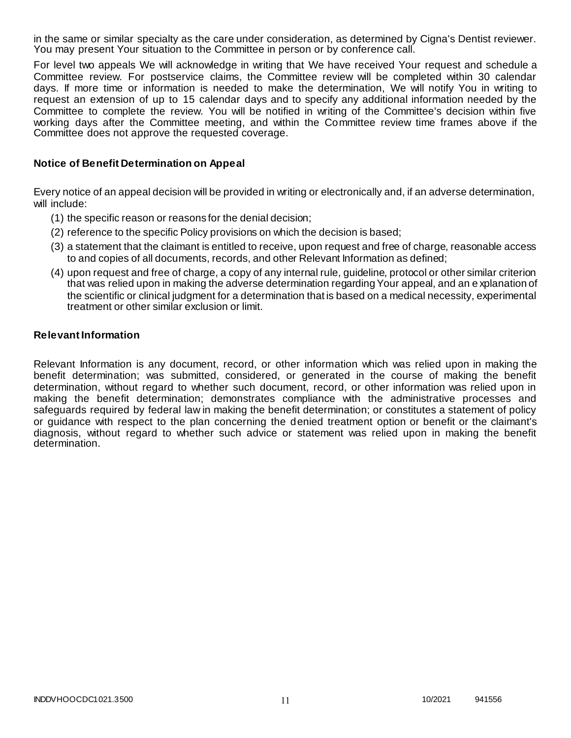in the same or similar specialty as the care under consideration, as determined by Cigna's Dentist reviewer. You may present Your situation to the Committee in person or by conference call.

For level two appeals We will acknowledge in writing that We have received Your request and schedule a Committee review. For postservice claims, the Committee review will be completed within 30 calendar days. If more time or information is needed to make the determination, We will notify You in writing to request an extension of up to 15 calendar days and to specify any additional information needed by the Committee to complete the review. You will be notified in writing of the Committee's decision within five working days after the Committee meeting, and within the Committee review time frames above if the Committee does not approve the requested coverage.

#### **Notice of Benefit Determination on Appeal**

Every notice of an appeal decision will be provided in writing or electronically and, if an adverse determination, will include:

- (1) the specific reason or reasons for the denial decision;
- (2) reference to the specific Policy provisions on which the decision is based;
- (3) a statement that the claimant is entitled to receive, upon request and free of charge, reasonable access to and copies of all documents, records, and other Relevant Information as defined;
- (4) upon request and free of charge, a copy of any internal rule, guideline, protocol or other similar criterion that was relied upon in making the adverse determination regarding Your appeal, and an e xplanation of the scientific or clinical judgment for a determination that is based on a medical necessity, experimental treatment or other similar exclusion or limit.

#### **Relevant Information**

Relevant Information is any document, record, or other information which was relied upon in making the benefit determination; was submitted, considered, or generated in the course of making the benefit determination, without regard to whether such document, record, or other information was relied upon in making the benefit determination; demonstrates compliance with the administrative processes and safeguards required by federal law in making the benefit determination; or constitutes a statement of policy or guidance with respect to the plan concerning the denied treatment option or benefit or the claimant's diagnosis, without regard to whether such advice or statement was relied upon in making the benefit determination.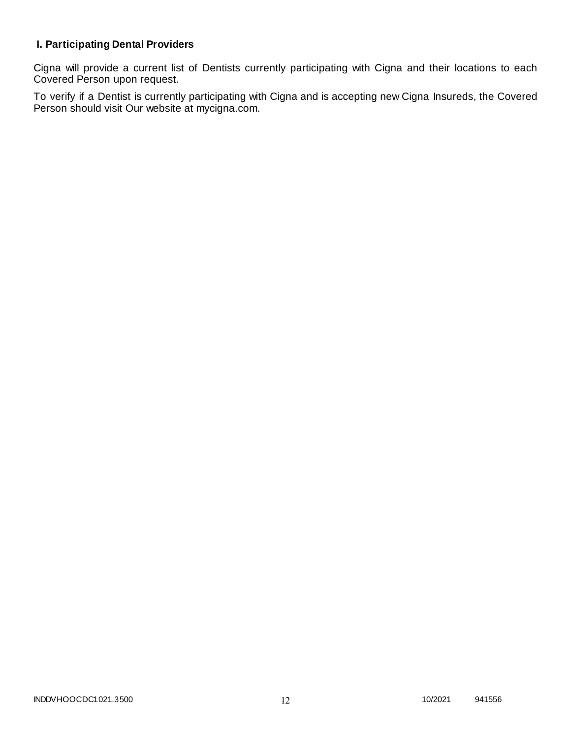### **I. Participating Dental Providers**

Cigna will provide a current list of Dentists currently participating with Cigna and their locations to each Covered Person upon request.

To verify if a Dentist is currently participating with Cigna and is accepting new Cigna Insureds, the Covered Person should visit Our website at mycigna.com.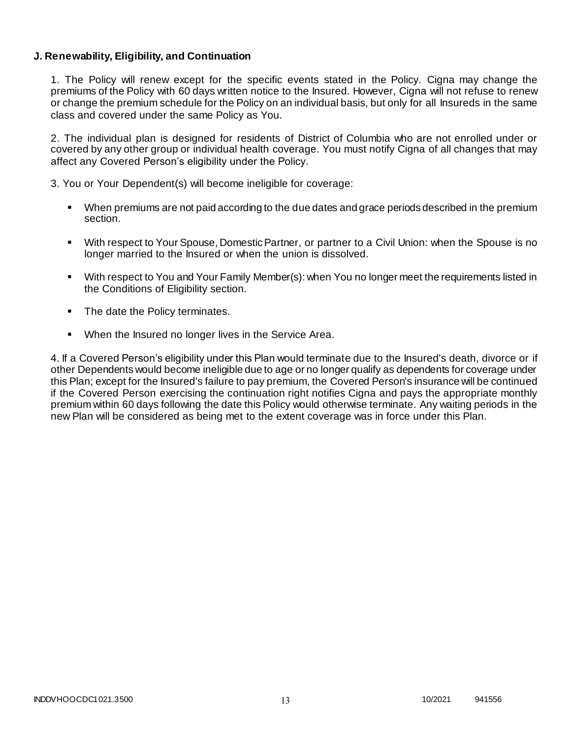#### **J. Renewability, Eligibility, and Continuation**

1. The Policy will renew except for the specific events stated in the Policy. Cigna may change the premiums of the Policy with 60 days written notice to the Insured. However, Cigna will not refuse to renew or change the premium schedule for the Policy on an individual basis, but only for all Insureds in the same class and covered under the same Policy as You.

2. The individual plan is designed for residents of District of Columbia who are not enrolled under or covered by any other group or individual health coverage. You must notify Cigna of all changes that may affect any Covered Person's eligibility under the Policy.

3. You or Your Dependent(s) will become ineligible for coverage:

- When premiums are not paid according to the due dates and grace periods described in the premium section.
- With respect to Your Spouse, Domestic Partner, or partner to a Civil Union: when the Spouse is no longer married to the Insured or when the union is dissolved.
- With respect to You and Your Family Member(s): when You no longer meet the requirements listed in the Conditions of Eligibility section.
- The date the Policy terminates.
- When the Insured no longer lives in the Service Area.

4. If a Covered Person's eligibility under this Plan would terminate due to the Insured's death, divorce or if other Dependents would become ineligible due to age or no longer qualify as dependents for coverage under this Plan; except for the Insured's failure to pay premium, the Covered Person's insurance will be continued if the Covered Person exercising the continuation right notifies Cigna and pays the appropriate monthly premium within 60 days following the date this Policy would otherwise terminate. Any waiting periods in the new Plan will be considered as being met to the extent coverage was in force under this Plan.